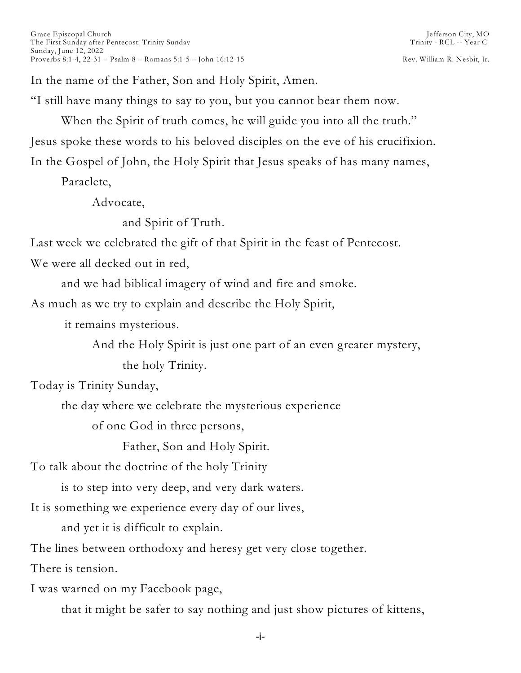In the name of the Father, Son and Holy Spirit, Amen.

"I still have many things to say to you, but you cannot bear them now.

When the Spirit of truth comes, he will guide you into all the truth."

Jesus spoke these words to his beloved disciples on the eve of his crucifixion.

In the Gospel of John, the Holy Spirit that Jesus speaks of has many names,

Paraclete,

Advocate,

and Spirit of Truth.

Last week we celebrated the gift of that Spirit in the feast of Pentecost.

We were all decked out in red,

and we had biblical imagery of wind and fire and smoke.

As much as we try to explain and describe the Holy Spirit,

it remains mysterious.

And the Holy Spirit is just one part of an even greater mystery,

the holy Trinity.

Today is Trinity Sunday,

the day where we celebrate the mysterious experience

of one God in three persons,

Father, Son and Holy Spirit.

To talk about the doctrine of the holy Trinity

is to step into very deep, and very dark waters.

It is something we experience every day of our lives,

and yet it is difficult to explain.

The lines between orthodoxy and heresy get very close together.

There is tension.

I was warned on my Facebook page,

that it might be safer to say nothing and just show pictures of kittens,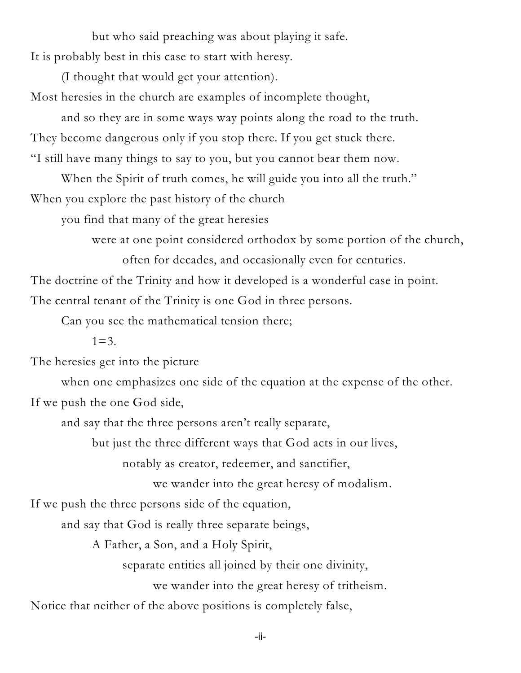but who said preaching was about playing it safe. It is probably best in this case to start with heresy.

(I thought that would get your attention).

Most heresies in the church are examples of incomplete thought,

and so they are in some ways way points along the road to the truth. They become dangerous only if you stop there. If you get stuck there. "I still have many things to say to you, but you cannot bear them now.

When the Spirit of truth comes, he will guide you into all the truth." When you explore the past history of the church

you find that many of the great heresies

were at one point considered orthodox by some portion of the church,

often for decades, and occasionally even for centuries.

The doctrine of the Trinity and how it developed is a wonderful case in point. The central tenant of the Trinity is one God in three persons.

Can you see the mathematical tension there;

 $1=3.$ 

The heresies get into the picture

when one emphasizes one side of the equation at the expense of the other. If we push the one God side,

and say that the three persons aren't really separate,

but just the three different ways that God acts in our lives,

notably as creator, redeemer, and sanctifier,

we wander into the great heresy of modalism.

If we push the three persons side of the equation,

and say that God is really three separate beings,

A Father, a Son, and a Holy Spirit,

separate entities all joined by their one divinity,

we wander into the great heresy of tritheism.

Notice that neither of the above positions is completely false,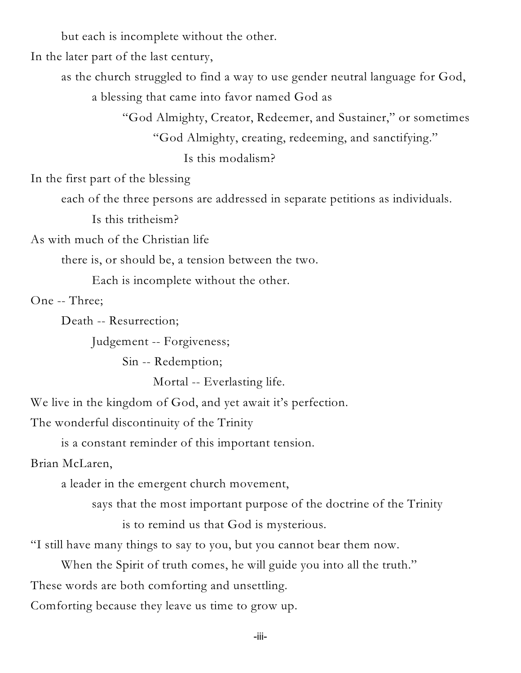but each is incomplete without the other.

In the later part of the last century,

as the church struggled to find a way to use gender neutral language for God,

a blessing that came into favor named God as

"God Almighty, Creator, Redeemer, and Sustainer," or sometimes

"God Almighty, creating, redeeming, and sanctifying."

Is this modalism?

In the first part of the blessing

each of the three persons are addressed in separate petitions as individuals.

Is this tritheism?

As with much of the Christian life

there is, or should be, a tension between the two.

Each is incomplete without the other.

One -- Three;

Death -- Resurrection;

Judgement -- Forgiveness;

Sin -- Redemption;

Mortal -- Everlasting life.

We live in the kingdom of God, and yet await it's perfection.

The wonderful discontinuity of the Trinity

is a constant reminder of this important tension.

Brian McLaren,

a leader in the emergent church movement,

says that the most important purpose of the doctrine of the Trinity

is to remind us that God is mysterious.

"I still have many things to say to you, but you cannot bear them now.

When the Spirit of truth comes, he will guide you into all the truth." These words are both comforting and unsettling.

Comforting because they leave us time to grow up.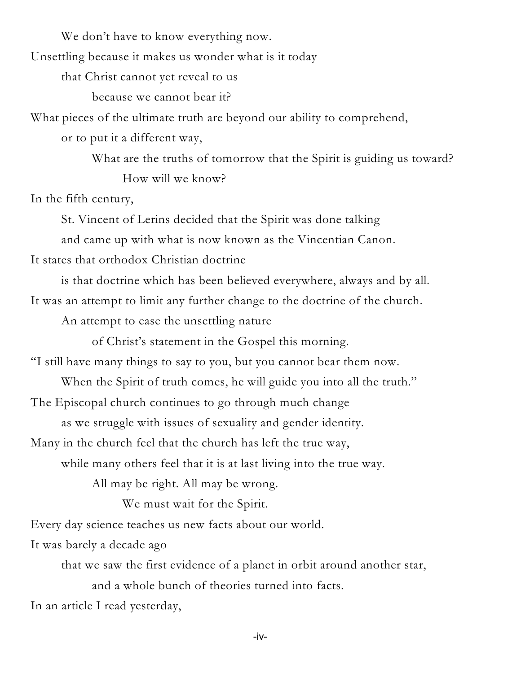We don't have to know everything now.

Unsettling because it makes us wonder what is it today

that Christ cannot yet reveal to us

because we cannot bear it?

What pieces of the ultimate truth are beyond our ability to comprehend,

or to put it a different way,

What are the truths of tomorrow that the Spirit is guiding us toward? How will we know?

In the fifth century,

St. Vincent of Lerins decided that the Spirit was done talking

and came up with what is now known as the Vincentian Canon.

It states that orthodox Christian doctrine

is that doctrine which has been believed everywhere, always and by all. It was an attempt to limit any further change to the doctrine of the church.

An attempt to ease the unsettling nature

of Christ's statement in the Gospel this morning.

"I still have many things to say to you, but you cannot bear them now.

When the Spirit of truth comes, he will guide you into all the truth."

The Episcopal church continues to go through much change

as we struggle with issues of sexuality and gender identity.

Many in the church feel that the church has left the true way,

while many others feel that it is at last living into the true way.

All may be right. All may be wrong.

We must wait for the Spirit.

Every day science teaches us new facts about our world.

It was barely a decade ago

that we saw the first evidence of a planet in orbit around another star, and a whole bunch of theories turned into facts.

In an article I read yesterday,

-iv-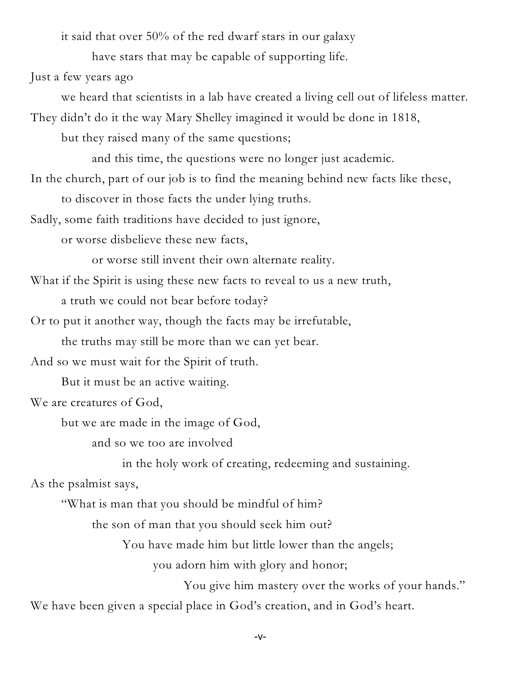it said that over 50% of the red dwarf stars in our galaxy

have stars that may be capable of supporting life.

Just a few years ago

we heard that scientists in a lab have created a living cell out of lifeless matter.

They didn't do it the way Mary Shelley imagined it would be done in 1818,

but they raised many of the same questions;

and this time, the questions were no longer just academic.

In the church, part of our job is to find the meaning behind new facts like these,

to discover in those facts the under lying truths.

Sadly, some faith traditions have decided to just ignore,

or worse disbelieve these new facts,

or worse still invent their own alternate reality.

What if the Spirit is using these new facts to reveal to us a new truth,

a truth we could not bear before today?

Or to put it another way, though the facts may be irrefutable,

the truths may still be more than we can yet bear.

And so we must wait for the Spirit of truth.

But it must be an active waiting.

We are creatures of God,

but we are made in the image of God,

and so we too are involved

in the holy work of creating, redeeming and sustaining.

As the psalmist says,

"What is man that you should be mindful of him?

the son of man that you should seek him out?

You have made him but little lower than the angels;

you adorn him with glory and honor;

You give him mastery over the works of your hands."

We have been given a special place in God's creation, and in God's heart.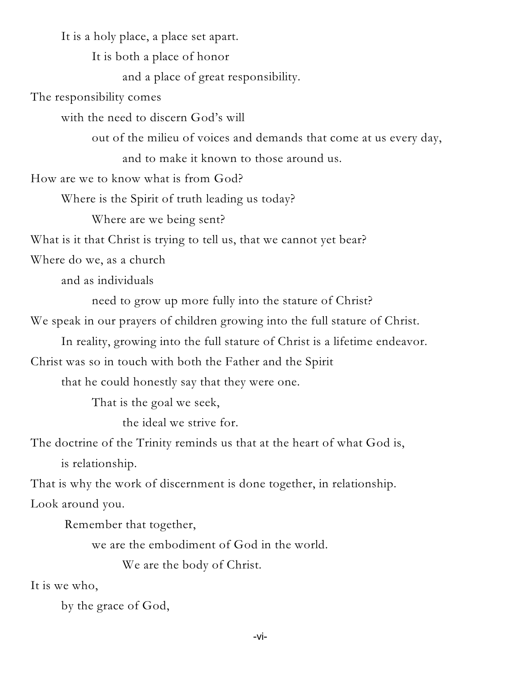It is a holy place, a place set apart.

It is both a place of honor

and a place of great responsibility.

The responsibility comes

with the need to discern God's will

out of the milieu of voices and demands that come at us every day,

and to make it known to those around us.

How are we to know what is from God?

Where is the Spirit of truth leading us today?

Where are we being sent?

What is it that Christ is trying to tell us, that we cannot yet bear?

Where do we, as a church

and as individuals

need to grow up more fully into the stature of Christ?

We speak in our prayers of children growing into the full stature of Christ.

In reality, growing into the full stature of Christ is a lifetime endeavor.

Christ was so in touch with both the Father and the Spirit

that he could honestly say that they were one.

That is the goal we seek,

the ideal we strive for.

The doctrine of the Trinity reminds us that at the heart of what God is,

is relationship.

That is why the work of discernment is done together, in relationship. Look around you.

Remember that together,

we are the embodiment of God in the world.

We are the body of Christ.

It is we who,

by the grace of God,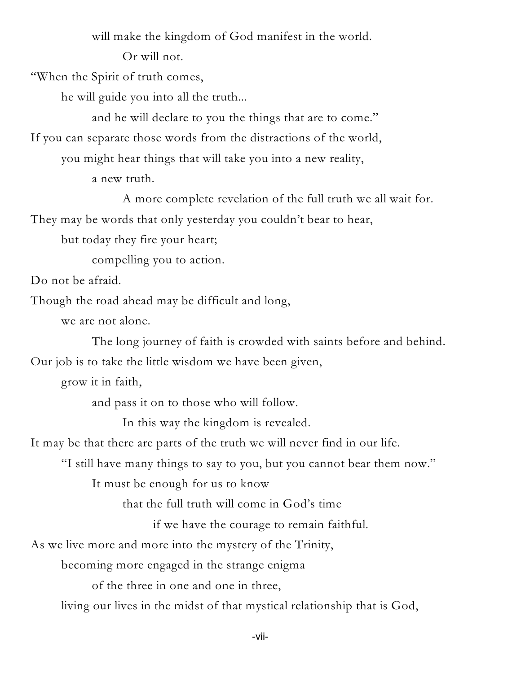will make the kingdom of God manifest in the world.

Or will not.

"When the Spirit of truth comes,

he will guide you into all the truth...

and he will declare to you the things that are to come."

If you can separate those words from the distractions of the world,

you might hear things that will take you into a new reality,

a new truth.

A more complete revelation of the full truth we all wait for. They may be words that only yesterday you couldn't bear to hear,

but today they fire your heart;

compelling you to action.

Do not be afraid.

Though the road ahead may be difficult and long,

we are not alone.

The long journey of faith is crowded with saints before and behind. Our job is to take the little wisdom we have been given,

grow it in faith,

and pass it on to those who will follow.

In this way the kingdom is revealed.

It may be that there are parts of the truth we will never find in our life.

"I still have many things to say to you, but you cannot bear them now."

It must be enough for us to know

that the full truth will come in God's time

if we have the courage to remain faithful.

As we live more and more into the mystery of the Trinity,

becoming more engaged in the strange enigma

of the three in one and one in three,

living our lives in the midst of that mystical relationship that is God,